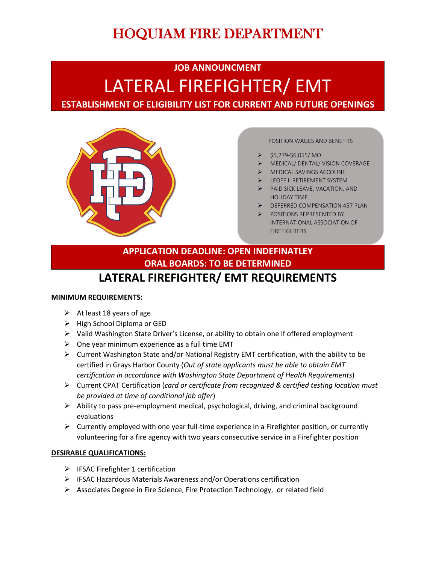# HOQUIAM FIRE DEPARTMENT

## **JOB ANNOUNCMENT** LATERAL FIREFIGHTER/ EMT **ESTABLISHMENT OF ELIGIBILITY LIST FOR CURRENT AND FUTURE OPENINGS**



POSITION WAGES AND BENEFITS

- \$5,279-\$6,055/ MO
- MEDICAL/ DENTAL/ VISION COVERAGE
- MEDICAL SAVINGS ACCOUNT
- LEOFF II RETIREMENT SYSTEM
- PAID SICK LEAVE, VACATION, AND HOLIDAY TIME
- DEFERRED COMPENSATION 457 PLAN
- POSITIONS REPRESENTED BY INTERNATIONAL ASSOCIATION OF FIREFIGHTERS

### **LATERAL FIREFIGHTER/ EMT REQUIREMENTS APPLICATION DEADLINE: OPEN INDEFINATLEY ORAL BOARDS: TO BE DETERMINED**

#### **MINIMUM REQUIREMENTS:**

- $\triangleright$  At least 18 years of age
- $\triangleright$  High School Diploma or GED
- $\triangleright$  Valid Washington State Driver's License, or ability to obtain one if offered employment
- $\triangleright$  One year minimum experience as a full time EMT
- $\triangleright$  Current Washington State and/or National Registry EMT certification, with the ability to be certified in Grays Harbor County (*Out of state applicants must be able to obtain EMT certification in accordance with Washington State Department of Health Requirements*)
- Current CPAT Certification (*card or certificate from recognized & certified testing location must be provided at time of conditional job offer*)
- $\triangleright$  Ability to pass pre-employment medical, psychological, driving, and criminal background evaluations
- $\triangleright$  Currently employed with one year full-time experience in a Firefighter position, or currently volunteering for a fire agency with two years consecutive service in a Firefighter position

#### **DESIRABLE QUALIFICATIONS:**

- $\triangleright$  IFSAC Firefighter 1 certification
- IFSAC Hazardous Materials Awareness and/or Operations certification
- Associates Degree in Fire Science, Fire Protection Technology, or related field